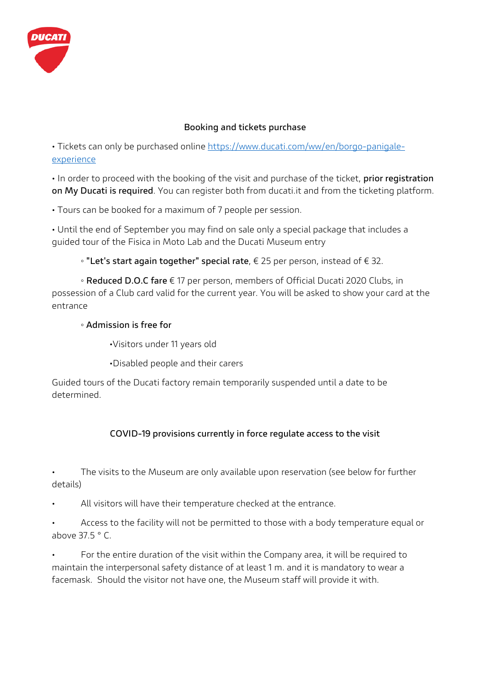

## **Booking and tickets purchase**

• Tickets can only be purchased online https://www.ducati.com/ww/en/borgo-panigaleexperience

• In order to proceed with the booking of the visit and purchase of the ticket, **prior registration on My Ducati is required**. You can register both from ducati.it and from the ticketing platform.

• Tours can be booked for a maximum of 7 people per session.

• Until the end of September you may find on sale only a special package that includes a guided tour of the Fisica in Moto Lab and the Ducati Museum entry

◦ **"Let's start again together" special rate**, € 25 per person, instead of € 32.

◦ **Reduced D.O.C fare** € 17 per person, members of Official Ducati 2020 Clubs, in possession of a Club card valid for the current year. You will be asked to show your card at the entrance

# ◦ **Admission is free for**

•Visitors under 11 years old

•Disabled people and their carers

Guided tours of the Ducati factory remain temporarily suspended until a date to be determined.

# **COVID-19 provisions currently in force regulate access to the visit**

The visits to the Museum are only available upon reservation (see below for further details)

All visitors will have their temperature checked at the entrance.

• Access to the facility will not be permitted to those with a body temperature equal or above 37.5 ° C.

• For the entire duration of the visit within the Company area, it will be required to maintain the interpersonal safety distance of at least 1 m. and it is mandatory to wear a facemask. Should the visitor not have one, the Museum staff will provide it with.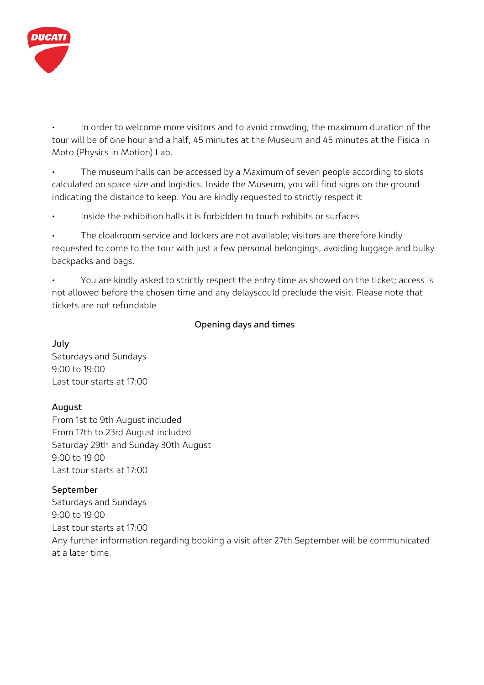

• In order to welcome more visitors and to avoid crowding, the maximum duration of the tour will be of one hour and a half, 45 minutes at the Museum and 45 minutes at the Fisica in Moto (Physics in Motion) Lab.

• The museum halls can be accessed by a Maximum of seven people according to slots calculated on space size and logistics. Inside the Museum, you will find signs on the ground indicating the distance to keep. You are kindly requested to strictly respect it

Inside the exhibition halls it is forbidden to touch exhibits or surfaces

The cloakroom service and lockers are not available; visitors are therefore kindly requested to come to the tour with just a few personal belongings, avoiding luggage and bulky backpacks and bags.

• You are kindly asked to strictly respect the entry time as showed on the ticket; access is not allowed before the chosen time and any delayscould preclude the visit. Please note that tickets are not refundable

### **Opening days and times**

**July**  Saturdays and Sundays 9:00 to 19:00 Last tour starts at 17:00

# **August**

From 1st to 9th August included From 17th to 23rd August included Saturday 29th and Sunday 30th August 9:00 to 19:00 Last tour starts at 17:00

# **September**

Saturdays and Sundays 9:00 to 19:00 Last tour starts at 17:00 Any further information regarding booking a visit after 27th September will be communicated at a later time.